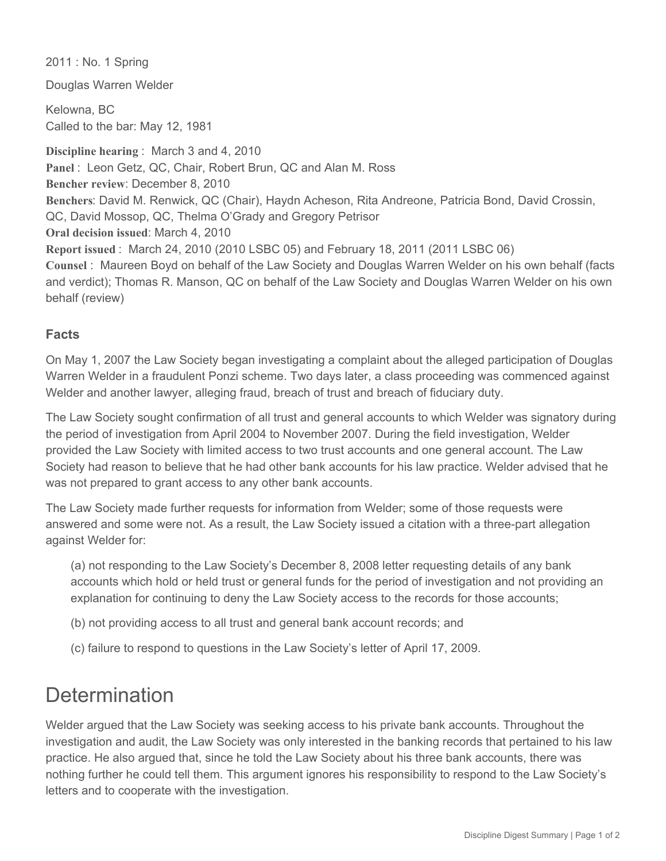2011 : No. 1 Spring

Douglas Warren Welder

Kelowna, BC Called to the bar: May 12, 1981

**Discipline hearing** : March 3 and 4, 2010 **Panel** : Leon Getz, QC, Chair, Robert Brun, QC and Alan M. Ross **Bencher review**: December 8, 2010 **Benchers**: David M. Renwick, QC (Chair), Haydn Acheson, Rita Andreone, Patricia Bond, David Crossin, QC, David Mossop, QC, Thelma O'Grady and Gregory Petrisor **Oral decision issued**: March 4, 2010 **Report issued** : March 24, 2010 (2010 LSBC 05) and February 18, 2011 (2011 LSBC 06) **Counsel** : Maureen Boyd on behalf of the Law Society and Douglas Warren Welder on his own behalf (facts and verdict); Thomas R. Manson, QC on behalf of the Law Society and Douglas Warren Welder on his own behalf (review)

## **Facts**

On May 1, 2007 the Law Society began investigating a complaint about the alleged participation of Douglas Warren Welder in a fraudulent Ponzi scheme. Two days later, a class proceeding was commenced against Welder and another lawyer, alleging fraud, breach of trust and breach of fiduciary duty.

The Law Society sought confirmation of all trust and general accounts to which Welder was signatory during the period of investigation from April 2004 to November 2007. During the field investigation, Welder provided the Law Society with limited access to two trust accounts and one general account. The Law Society had reason to believe that he had other bank accounts for his law practice. Welder advised that he was not prepared to grant access to any other bank accounts.

The Law Society made further requests for information from Welder; some of those requests were answered and some were not. As a result, the Law Society issued a citation with a three-part allegation against Welder for:

(a) not responding to the Law Society's December 8, 2008 letter requesting details of any bank accounts which hold or held trust or general funds for the period of investigation and not providing an explanation for continuing to deny the Law Society access to the records for those accounts;

(b) not providing access to all trust and general bank account records; and

(c) failure to respond to questions in the Law Society's letter of April 17, 2009.

## **Determination**

Welder argued that the Law Society was seeking access to his private bank accounts. Throughout the investigation and audit, the Law Society was only interested in the banking records that pertained to his law practice. He also argued that, since he told the Law Society about his three bank accounts, there was nothing further he could tell them. This argument ignores his responsibility to respond to the Law Society's letters and to cooperate with the investigation.